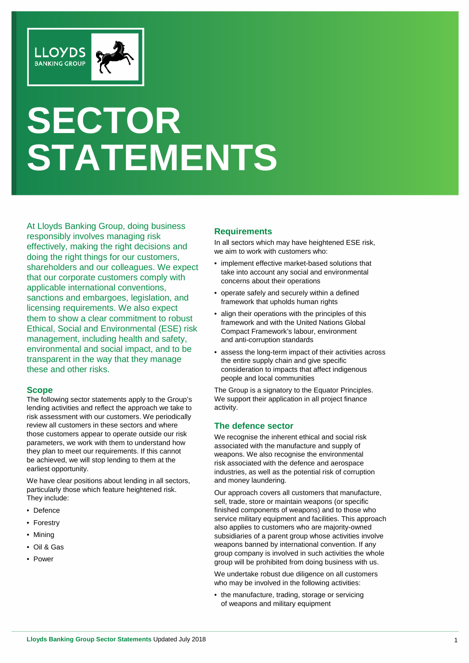

# **SECTOR STATEMENTS**

At Lloyds Banking Group, doing business responsibly involves managing risk effectively, making the right decisions and doing the right things for our customers, shareholders and our colleagues. We expect that our corporate customers comply with applicable international conventions, sanctions and embargoes, legislation, and licensing requirements. We also expect them to show a clear commitment to robust Ethical, Social and Environmental (ESE) risk management, including health and safety, environmental and social impact, and to be transparent in the way that they manage these and other risks.

#### **Scope**

The following sector statements apply to the Group's lending activities and reflect the approach we take to risk assessment with our customers. We periodically review all customers in these sectors and where those customers appear to operate outside our risk parameters, we work with them to understand how they plan to meet our requirements. If this cannot be achieved, we will stop lending to them at the earliest opportunity.

We have clear positions about lending in all sectors, particularly those which feature heightened risk. They include:

- Defence
- Forestry
- Mining
- Oil & Gas
- Power

## **Requirements**

In all sectors which may have heightened ESE risk, we aim to work with customers who:

- implement effective market-based solutions that take into account any social and environmental concerns about their operations
- operate safely and securely within a defined framework that upholds human rights
- align their operations with the principles of this framework and with the United Nations Global Compact Framework's labour, environment and anti-corruption standards
- assess the long-term impact of their activities across the entire supply chain and give specific consideration to impacts that affect indigenous people and local communities

The Group is a signatory to the Equator Principles. We support their application in all project finance activity.

### **The defence sector**

We recognise the inherent ethical and social risk associated with the manufacture and supply of weapons. We also recognise the environmental risk associated with the defence and aerospace industries, as well as the potential risk of corruption and money laundering.

Our approach covers all customers that manufacture, sell, trade, store or maintain weapons (or specific finished components of weapons) and to those who service military equipment and facilities. This approach also applies to customers who are majority-owned subsidiaries of a parent group whose activities involve weapons banned by international convention. If any group company is involved in such activities the whole group will be prohibited from doing business with us.

We undertake robust due diligence on all customers who may be involved in the following activities:

• the manufacture, trading, storage or servicing of weapons and military equipment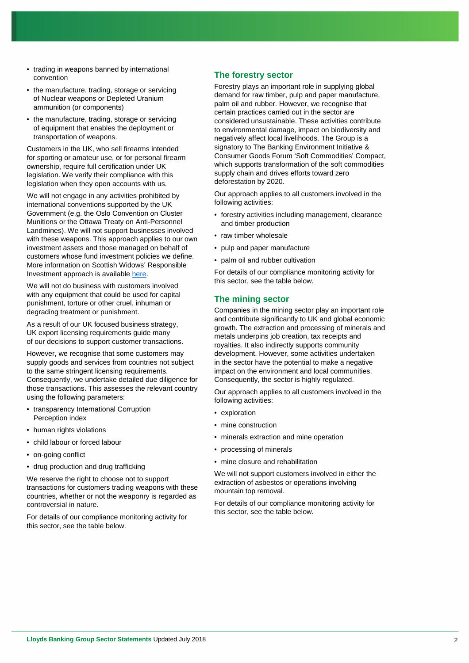- trading in weapons banned by international convention
- the manufacture, trading, storage or servicing of Nuclear weapons or Depleted Uranium ammunition (or components)
- the manufacture, trading, storage or servicing of equipment that enables the deployment or transportation of weapons.

Customers in the UK, who sell firearms intended for sporting or amateur use, or for personal firearm ownership, require full certification under UK legislation. We verify their compliance with this legislation when they open accounts with us.

We will not engage in any activities prohibited by international conventions supported by the UK Government (e.g. the Oslo Convention on Cluster Munitions or the Ottawa Treaty on Anti-Personnel Landmines). We will not support businesses involved with these weapons. This approach applies to our own investment assets and those managed on behalf of customers whose fund investment policies we define. More information on Scottish Widows' Responsible Investment approach is availabl[e here.](https://www.scottishwidows.co.uk/about_us/responsibleinvestment/activities/ethical.html)

We will not do business with customers involved with any equipment that could be used for capital punishment, torture or other cruel, inhuman or degrading treatment or punishment.

As a result of our UK focused business strategy, UK export licensing requirements guide many of our decisions to support customer transactions.

However, we recognise that some customers may supply goods and services from countries not subject to the same stringent licensing requirements. Consequently, we undertake detailed due diligence for those transactions. This assesses the relevant country using the following parameters:

- transparency International Corruption Perception index
- human rights violations
- child labour or forced labour
- on-going conflict
- drug production and drug trafficking

We reserve the right to choose not to support transactions for customers trading weapons with these countries, whether or not the weaponry is regarded as controversial in nature.

For details of our compliance monitoring activity for this sector, see the table below.

## **The forestry sector**

Forestry plays an important role in supplying global demand for raw timber, pulp and paper manufacture, palm oil and rubber. However, we recognise that certain practices carried out in the sector are considered unsustainable. These activities contribute to environmental damage, impact on biodiversity and negatively affect local livelihoods. The Group is a signatory to The Banking Environment Initiative & Consumer Goods Forum 'Soft Commodities' Compact, which supports transformation of the soft commodities supply chain and drives efforts toward zero deforestation by 2020.

Our approach applies to all customers involved in the following activities:

- forestry activities including management, clearance and timber production
- raw timber wholesale
- pulp and paper manufacture
- palm oil and rubber cultivation

For details of our compliance monitoring activity for this sector, see the table below.

## **The mining sector**

Companies in the mining sector play an important role and contribute significantly to UK and global economic growth. The extraction and processing of minerals and metals underpins job creation, tax receipts and royalties. It also indirectly supports community development. However, some activities undertaken in the sector have the potential to make a negative impact on the environment and local communities. Consequently, the sector is highly regulated.

Our approach applies to all customers involved in the following activities:

- exploration
- mine construction
- minerals extraction and mine operation
- processing of minerals
- mine closure and rehabilitation

We will not support customers involved in either the extraction of asbestos or operations involving mountain top removal.

For details of our compliance monitoring activity for this sector, see the table below.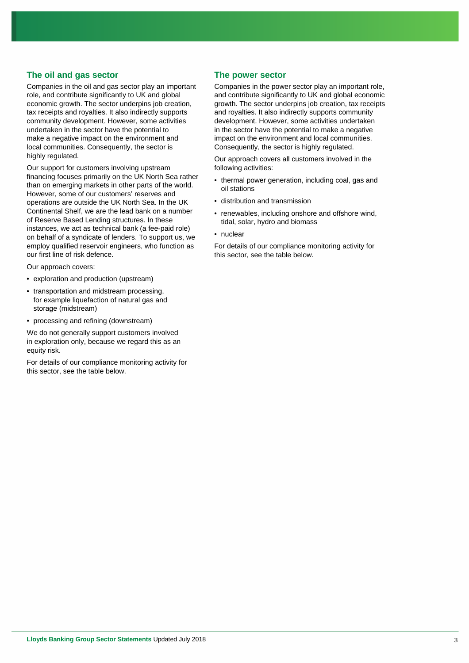#### **The oil and gas sector**

Companies in the oil and gas sector play an important role, and contribute significantly to UK and global economic growth. The sector underpins job creation, tax receipts and royalties. It also indirectly supports community development. However, some activities undertaken in the sector have the potential to make a negative impact on the environment and local communities. Consequently, the sector is highly regulated.

Our support for customers involving upstream financing focuses primarily on the UK North Sea rather than on emerging markets in other parts of the world. However, some of our customers' reserves and operations are outside the UK North Sea. In the UK Continental Shelf, we are the lead bank on a number of Reserve Based Lending structures. In these instances, we act as technical bank (a fee-paid role) on behalf of a syndicate of lenders. To support us, we employ qualified reservoir engineers, who function as our first line of risk defence.

Our approach covers:

- exploration and production (upstream)
- transportation and midstream processing, for example liquefaction of natural gas and storage (midstream)
- processing and refining (downstream)

We do not generally support customers involved in exploration only, because we regard this as an equity risk.

For details of our compliance monitoring activity for this sector, see the table below.

#### **The power sector**

Companies in the power sector play an important role, and contribute significantly to UK and global economic growth. The sector underpins job creation, tax receipts and royalties. It also indirectly supports community development. However, some activities undertaken in the sector have the potential to make a negative impact on the environment and local communities. Consequently, the sector is highly regulated.

Our approach covers all customers involved in the following activities:

- thermal power generation, including coal, gas and oil stations
- distribution and transmission
- renewables, including onshore and offshore wind, tidal, solar, hydro and biomass
- nuclear

For details of our compliance monitoring activity for this sector, see the table below.